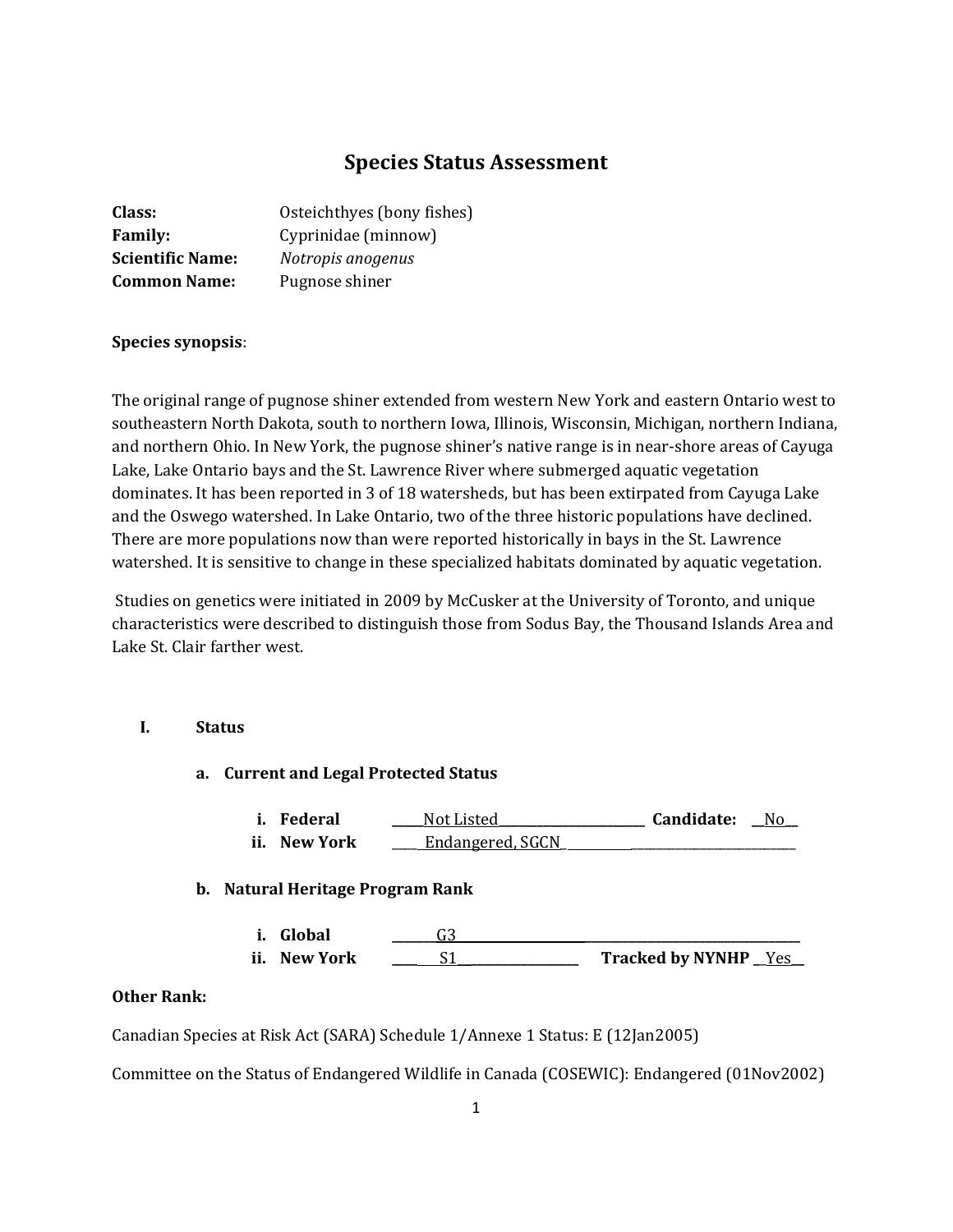# **Species Status Assessment**

| Class:                  | Osteichthyes (bony fishes) |
|-------------------------|----------------------------|
| <b>Family:</b>          | Cyprinidae (minnow)        |
| <b>Scientific Name:</b> | Notropis anogenus          |
| <b>Common Name:</b>     | Pugnose shiner             |

# **Species synopsis**:

The original range of pugnose shiner extended from western New York and eastern Ontario west to southeastern North Dakota, south to northern Iowa, Illinois, Wisconsin, Michigan, northern Indiana, and northern Ohio. In New York, the pugnose shiner's native range is in near-shore areas of Cayuga Lake, Lake Ontario bays and the St. Lawrence River where submerged aquatic vegetation dominates. It has been reported in 3 of 18 watersheds, but has been extirpated from Cayuga Lake and the Oswego watershed. In Lake Ontario, two of the three historic populations have declined. There are more populations now than were reported historically in bays in the St. Lawrence watershed. It is sensitive to change in these specialized habitats dominated by aquatic vegetation.

Studies on genetics were initiated in 2009 by McCusker at the University of Toronto, and unique characteristics were described to distinguish those from Sodus Bay, the Thousand Islands Area and Lake St. Clair farther west.

# **I. Status**

#### **a. Current and Legal Protected Status**

**i. Federal \_\_\_\_\_**Not Listed**\_\_\_\_\_\_\_\_\_\_\_\_\_\_\_\_\_\_\_\_\_\_\_ Candidate: \_\_**No**\_\_ ii. New York Letter** Endangered, SGCN

# **b. Natural Heritage Program Rank**

**i. Global \_\_\_\_\_\_\_**G3 **\_\_\_\_\_\_\_\_\_\_\_\_\_\_\_\_\_\_\_\_\_\_\_\_\_\_\_\_\_\_\_\_\_\_ ii. New York \_\_\_\_** S1\_\_**\_\_\_\_\_\_\_\_\_\_\_\_\_\_\_\_\_ Tracked by NYNHP \_**\_Yes**\_\_**

### **Other Rank:**

Canadian Species at Risk Act (SARA) Schedule 1/Annexe 1 Status: E (12Jan2005)

Committee on the Status of Endangered Wildlife in Canada (COSEWIC): Endangered (01Nov2002)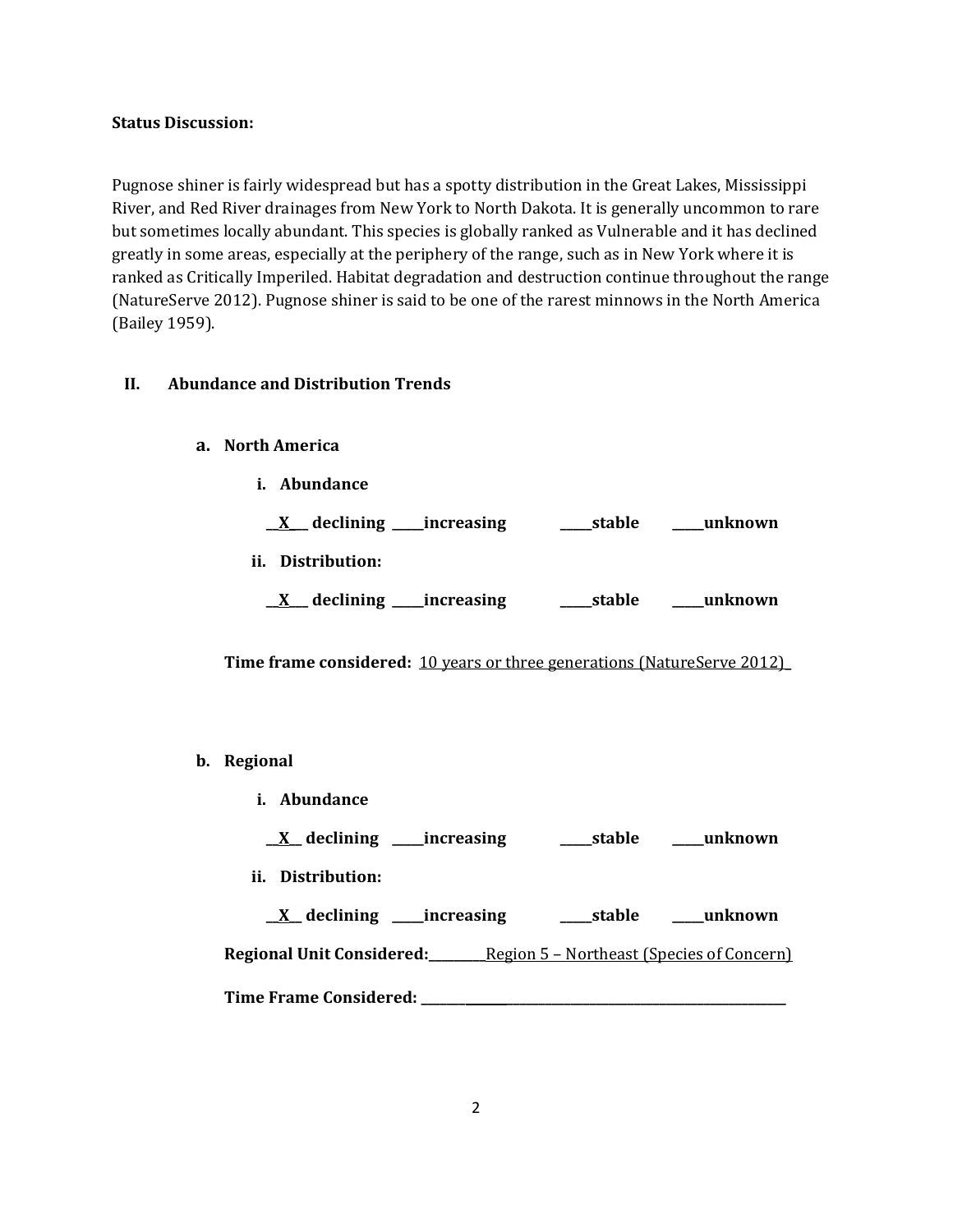#### **Status Discussion:**

Pugnose shiner is fairly widespread but has a spotty distribution in the Great Lakes, Mississippi River, and Red River drainages from New York to North Dakota. It is generally uncommon to rare but sometimes locally abundant. This species is globally ranked as Vulnerable and it has declined greatly in some areas, especially at the periphery of the range, such as in New York where it is ranked as Critically Imperiled. Habitat degradation and destruction continue throughout the range (NatureServe 2012). Pugnose shiner is said to be one of the rarest minnows in the North America (Bailey 1959).

# **II. Abundance and Distribution Trends**

- **a. North America**
	- **i. Abundance**

| declining ______ increasing | stable | unknown  |
|-----------------------------|--------|----------|
| ii. Distribution:           |        |          |
| declining _____increasing   | stable | unknown_ |

**Time frame considered:** 10 years or three generations (NatureServe 2012)**\_**

# **b. Regional**

- **i. Abundance**
	- **\_\_X\_\_ declining \_\_\_\_\_increasing \_\_\_\_\_stable \_\_\_\_\_unknown**
- **ii. Distribution:**

**\_\_X\_\_ declining \_\_\_\_\_increasing \_\_\_\_\_stable \_\_\_\_\_unknown**

**Regional Unit Considered:\_\_\_\_\_\_\_\_\_**Region 5 – Northeast (Species of Concern)

**Time Frame Considered: \_\_\_\_\_\_\_ \_\_\_\_\_\_\_\_\_\_\_\_\_\_\_\_\_\_\_\_\_\_\_\_\_\_\_\_\_\_\_\_\_\_\_\_\_\_\_\_\_\_\_\_**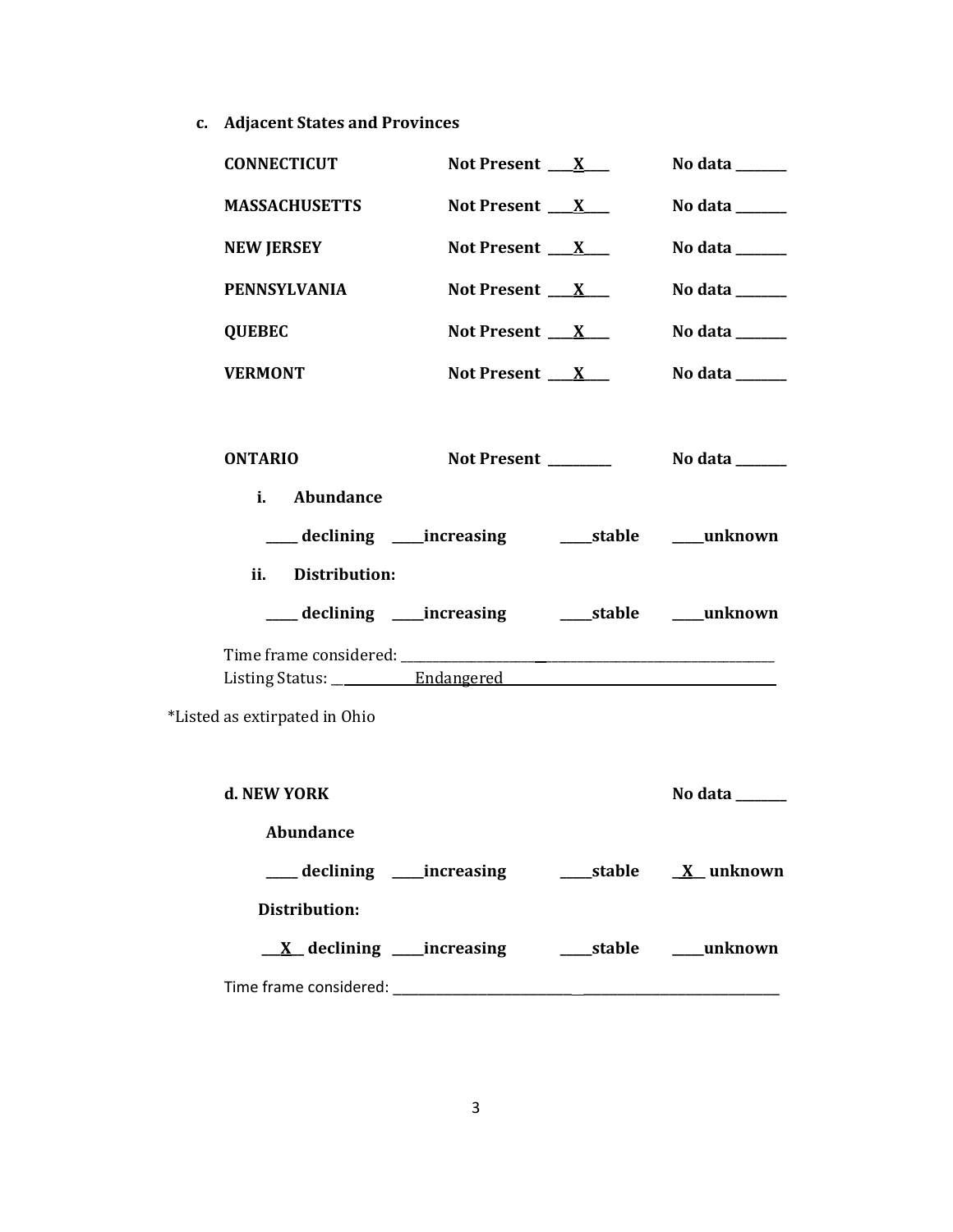**c. Adjacent States and Provinces**

| <b>CONNECTICUT</b>            | Not Present $X_{-}$                                   | No data $\_\_\_\_\_\_\_\_\_\_\$   |
|-------------------------------|-------------------------------------------------------|-----------------------------------|
| <b>MASSACHUSETTS</b>          | Not Present $X_{-}$                                   | No data $\_\_\_\_\_\_\_\_\_\_\$   |
| <b>NEW JERSEY</b>             | Not Present $X_{-}$                                   | No data $\_\_\_\_\_\_\_\_\_\_\$   |
| <b>PENNSYLVANIA</b>           | Not Present $X_{-}$                                   | No data $\_\_\_\_\_\_\_\_\_\_\_\$ |
| <b>QUEBEC</b>                 | Not Present $X_{-}$                                   | No data $\_\_\_\_\_\_\_\_\_\_\_\$ |
| <b>VERMONT</b>                | Not Present $X_{-}$                                   | No data $\_\_\_\_\_\_\_\_\_\_\$   |
| <b>ONTARIO</b>                | Not Present                                           | No data ______                    |
|                               |                                                       |                                   |
| i. Abundance                  |                                                       |                                   |
|                               |                                                       |                                   |
| ii. Distribution:             |                                                       |                                   |
|                               | ___ declining ____increasing ______stable ____unknown |                                   |
|                               |                                                       |                                   |
|                               |                                                       |                                   |
| *Listed as extirpated in Ohio |                                                       |                                   |
| d. NEW YORK                   |                                                       | No data $\_\_$                    |
| Abundance                     |                                                       |                                   |
|                               |                                                       |                                   |
| <b>Distribution:</b>          |                                                       |                                   |
|                               |                                                       |                                   |
|                               |                                                       |                                   |

3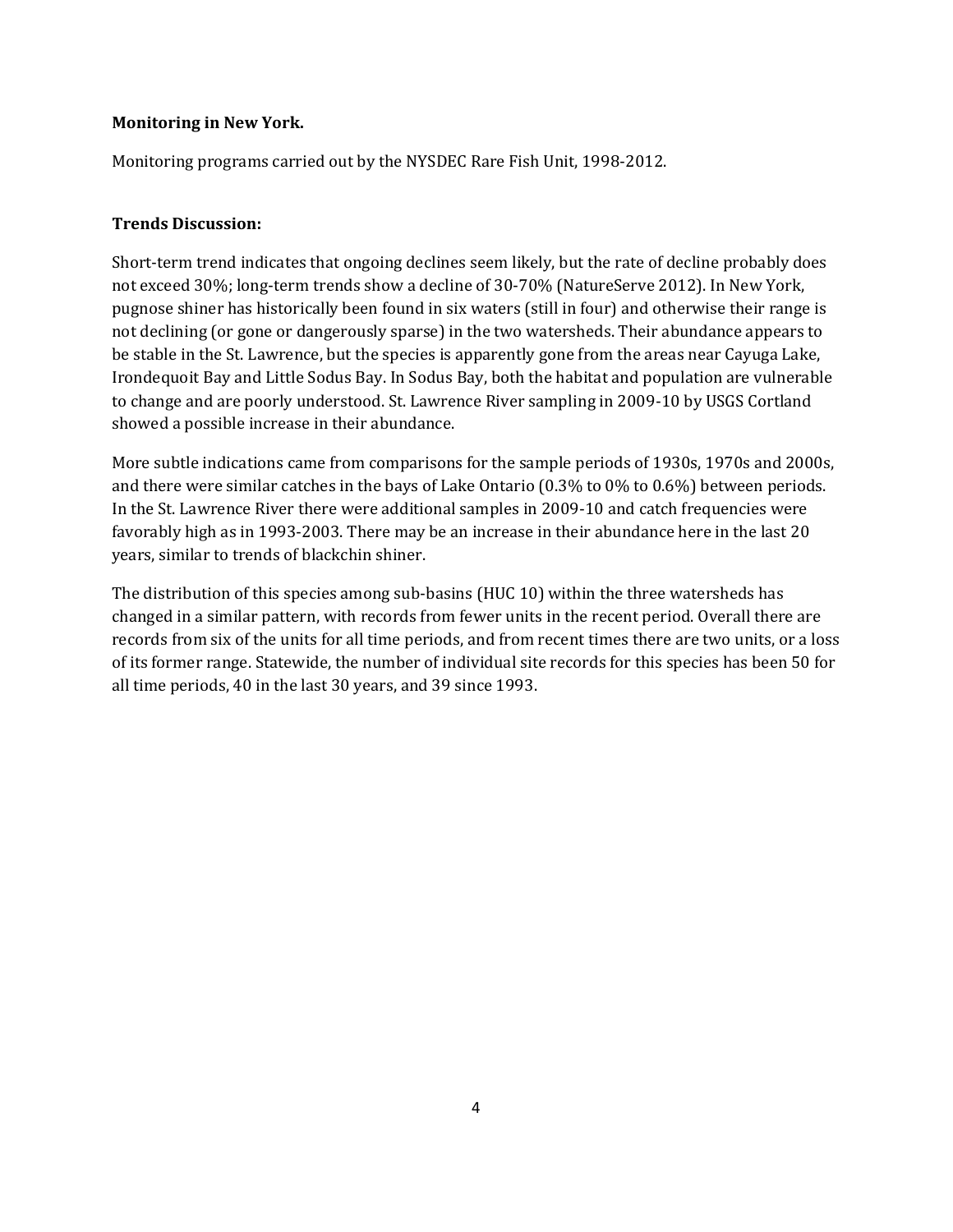# **Monitoring in New York.**

Monitoring programs carried out by the NYSDEC Rare Fish Unit, 1998-2012.

# **Trends Discussion:**

Short-term trend indicates that ongoing declines seem likely, but the rate of decline probably does not exceed 30%; long-term trends show a decline of 30-70% (NatureServe 2012). In New York, pugnose shiner has historically been found in six waters (still in four) and otherwise their range is not declining (or gone or dangerously sparse) in the two watersheds. Their abundance appears to be stable in the St. Lawrence, but the species is apparently gone from the areas near Cayuga Lake, Irondequoit Bay and Little Sodus Bay. In Sodus Bay, both the habitat and population are vulnerable to change and are poorly understood. St. Lawrence River sampling in 2009-10 by USGS Cortland showed a possible increase in their abundance.

More subtle indications came from comparisons for the sample periods of 1930s, 1970s and 2000s, and there were similar catches in the bays of Lake Ontario (0.3% to 0% to 0.6%) between periods. In the St. Lawrence River there were additional samples in 2009-10 and catch frequencies were favorably high as in 1993-2003. There may be an increase in their abundance here in the last 20 years, similar to trends of blackchin shiner.

The distribution of this species among sub-basins (HUC 10) within the three watersheds has changed in a similar pattern, with records from fewer units in the recent period. Overall there are records from six of the units for all time periods, and from recent times there are two units, or a loss of its former range. Statewide, the number of individual site records for this species has been 50 for all time periods, 40 in the last 30 years, and 39 since 1993.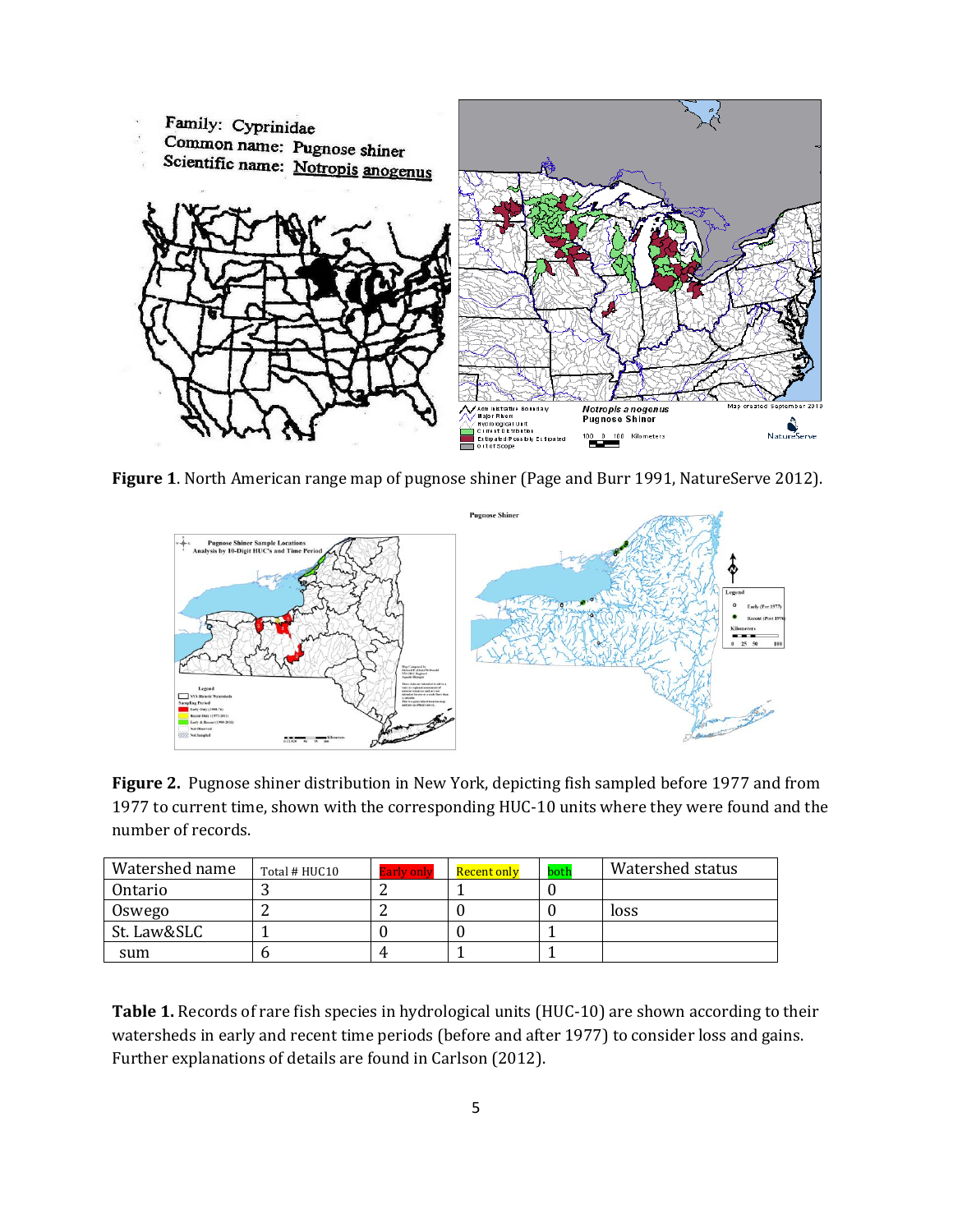

**Figure 1**. North American range map of pugnose shiner (Page and Burr 1991, NatureServe 2012).



**Figure 2.** Pugnose shiner distribution in New York, depicting fish sampled before 1977 and from 1977 to current time, shown with the corresponding HUC-10 units where they were found and the number of records.

| Watershed name | Total # HUC10 | <b>Early only</b> | Recent only | both | Watershed status |
|----------------|---------------|-------------------|-------------|------|------------------|
| Ontario        |               |                   |             |      |                  |
| Oswego         |               |                   |             |      | loss             |
| St. Law&SLC    |               |                   |             |      |                  |
| sum            |               |                   |             |      |                  |

**Table 1.** Records of rare fish species in hydrological units (HUC-10) are shown according to their watersheds in early and recent time periods (before and after 1977) to consider loss and gains. Further explanations of details are found in Carlson (2012).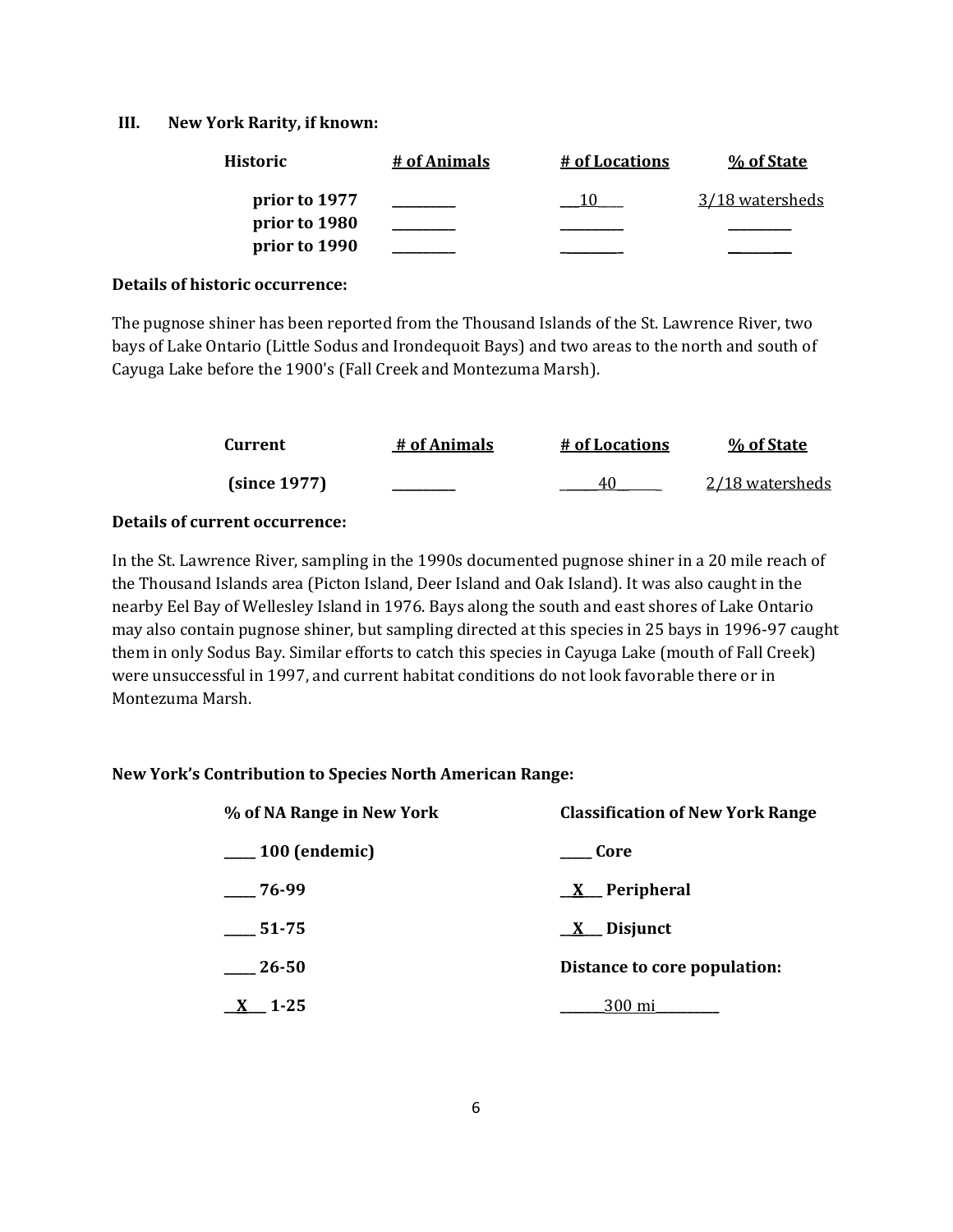### **III. New York Rarity, if known:**

| <b>Historic</b> | # of Animals | # of Locations | % of State      |
|-----------------|--------------|----------------|-----------------|
| prior to 1977   |              |                | 3/18 watersheds |
| prior to 1980   |              |                |                 |
| prior to 1990   |              |                |                 |

#### **Details of historic occurrence:**

The pugnose shiner has been reported from the Thousand Islands of the St. Lawrence River, two bays of Lake Ontario (Little Sodus and Irondequoit Bays) and two areas to the north and south of Cayuga Lake before the 1900's (Fall Creek and Montezuma Marsh).

| Current      | # of Animals | # of Locations | % of State      |
|--------------|--------------|----------------|-----------------|
| (since 1977) |              | 41             | 2/18 watersheds |

# **Details of current occurrence:**

In the St. Lawrence River, sampling in the 1990s documented pugnose shiner in a 20 mile reach of the Thousand Islands area (Picton Island, Deer Island and Oak Island). It was also caught in the nearby Eel Bay of Wellesley Island in 1976. Bays along the south and east shores of Lake Ontario may also contain pugnose shiner, but sampling directed at this species in 25 bays in 1996-97 caught them in only Sodus Bay. Similar efforts to catch this species in Cayuga Lake (mouth of Fall Creek) were unsuccessful in 1997, and current habitat conditions do not look favorable there or in Montezuma Marsh.

# **New York's Contribution to Species North American Range:**

| % of NA Range in New York | <b>Classification of New York Range</b> |
|---------------------------|-----------------------------------------|
| $\_\_100$ (endemic)       | Core                                    |
| $-76-99$                  | $X$ Peripheral                          |
| $-51-75$                  | $\underline{X}$ Disjunct                |
| 26-50                     | Distance to core population:            |
| $1 - 25$                  | 300 mi                                  |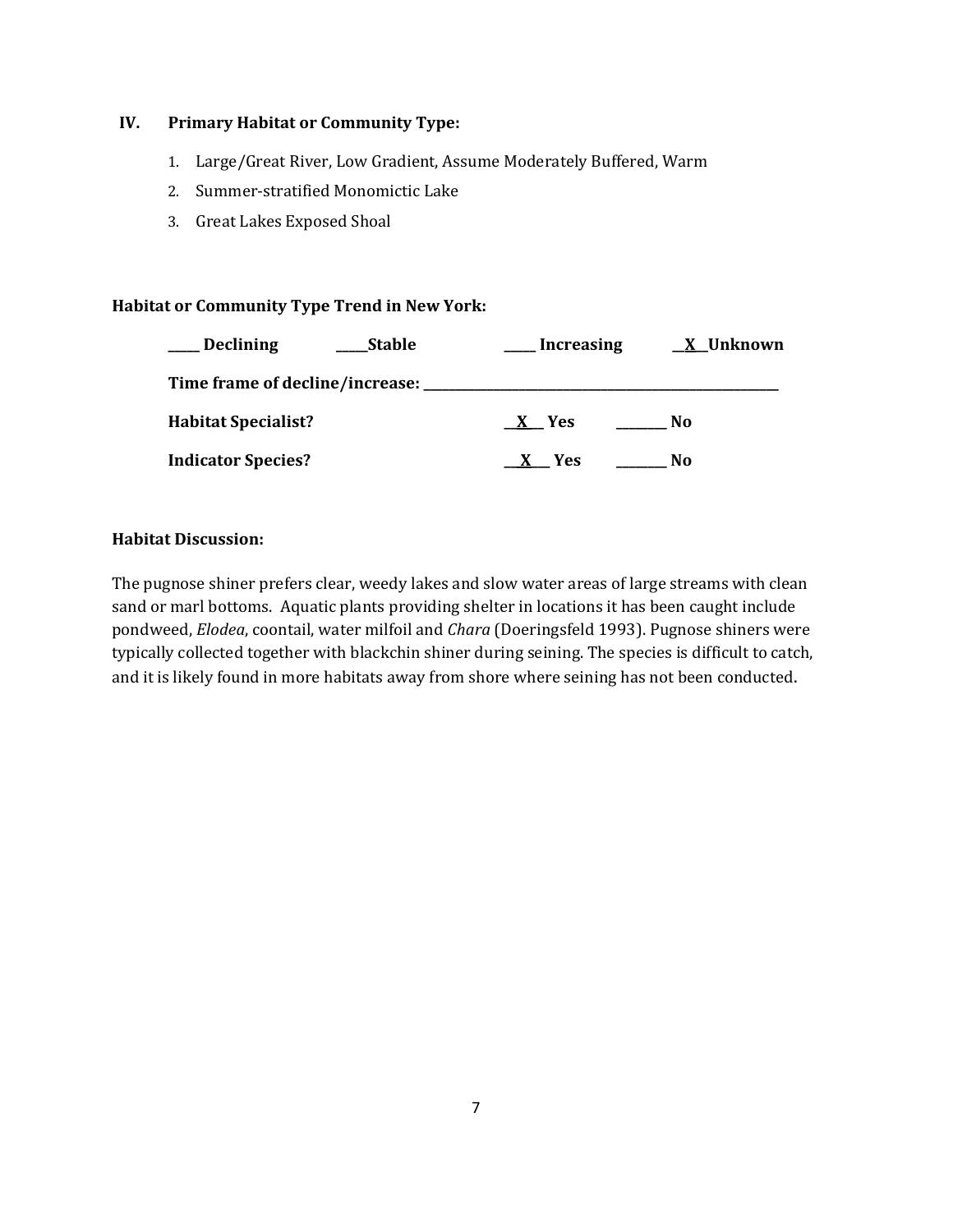# **IV. Primary Habitat or Community Type:**

- 1. Large/Great River, Low Gradient, Assume Moderately Buffered, Warm
- 2. Summer-stratified Monomictic Lake
- 3. Great Lakes Exposed Shoal

# **Habitat or Community Type Trend in New York:**

| <b>Declining</b><br><b>Stable</b> | <b>Increasing</b> | X Unknown |
|-----------------------------------|-------------------|-----------|
|                                   |                   |           |
| <b>Habitat Specialist?</b>        | X Yes             | No        |
| <b>Indicator Species?</b>         | X Yes             | No        |

# **Habitat Discussion:**

The pugnose shiner prefers clear, weedy lakes and slow water areas of large streams with clean sand or marl bottoms. Aquatic plants providing shelter in locations it has been caught include pondweed, *Elodea*, coontail, water milfoil and *Chara* (Doeringsfeld 1993). Pugnose shiners were typically collected together with blackchin shiner during seining. The species is difficult to catch, and it is likely found in more habitats away from shore where seining has not been conducted.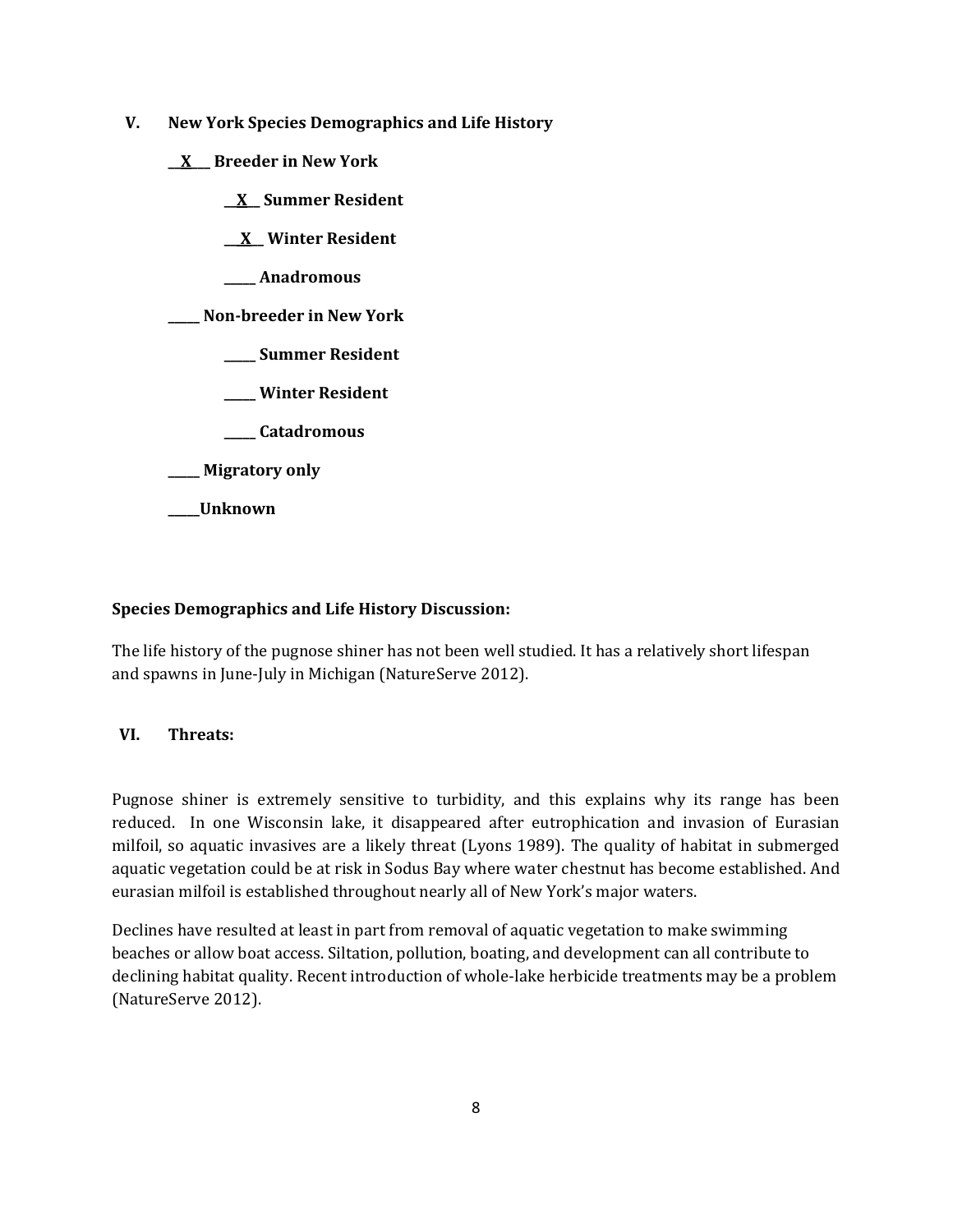- **V. New York Species Demographics and Life History**
	- **\_\_X\_\_\_ Breeder in New York**
		- **\_\_X\_\_ Summer Resident**

**\_\_ X\_\_ Winter Resident**

**\_\_\_\_\_ Anadromous**

**\_\_\_\_\_ Non-breeder in New York**

- **\_\_\_\_\_ Summer Resident**
- **\_\_\_\_\_ Winter Resident**
- **\_\_\_\_\_ Catadromous**
- **\_\_\_\_\_ Migratory only**
- **\_\_\_\_\_Unknown**

# **Species Demographics and Life History Discussion:**

The life history of the pugnose shiner has not been well studied. It has a relatively short lifespan and spawns in June-July in Michigan (NatureServe 2012).

# **VI. Threats:**

Pugnose shiner is extremely sensitive to turbidity, and this explains why its range has been reduced. In one Wisconsin lake, it disappeared after eutrophication and invasion of Eurasian milfoil, so aquatic invasives are a likely threat (Lyons 1989). The quality of habitat in submerged aquatic vegetation could be at risk in Sodus Bay where water chestnut has become established. And eurasian milfoil is established throughout nearly all of New York's major waters.

Declines have resulted at least in part from removal of aquatic vegetation to make swimming beaches or allow boat access. Siltation, pollution, boating, and development can all contribute to declining habitat quality. Recent introduction of whole-lake herbicide treatments may be a problem (NatureServe 2012).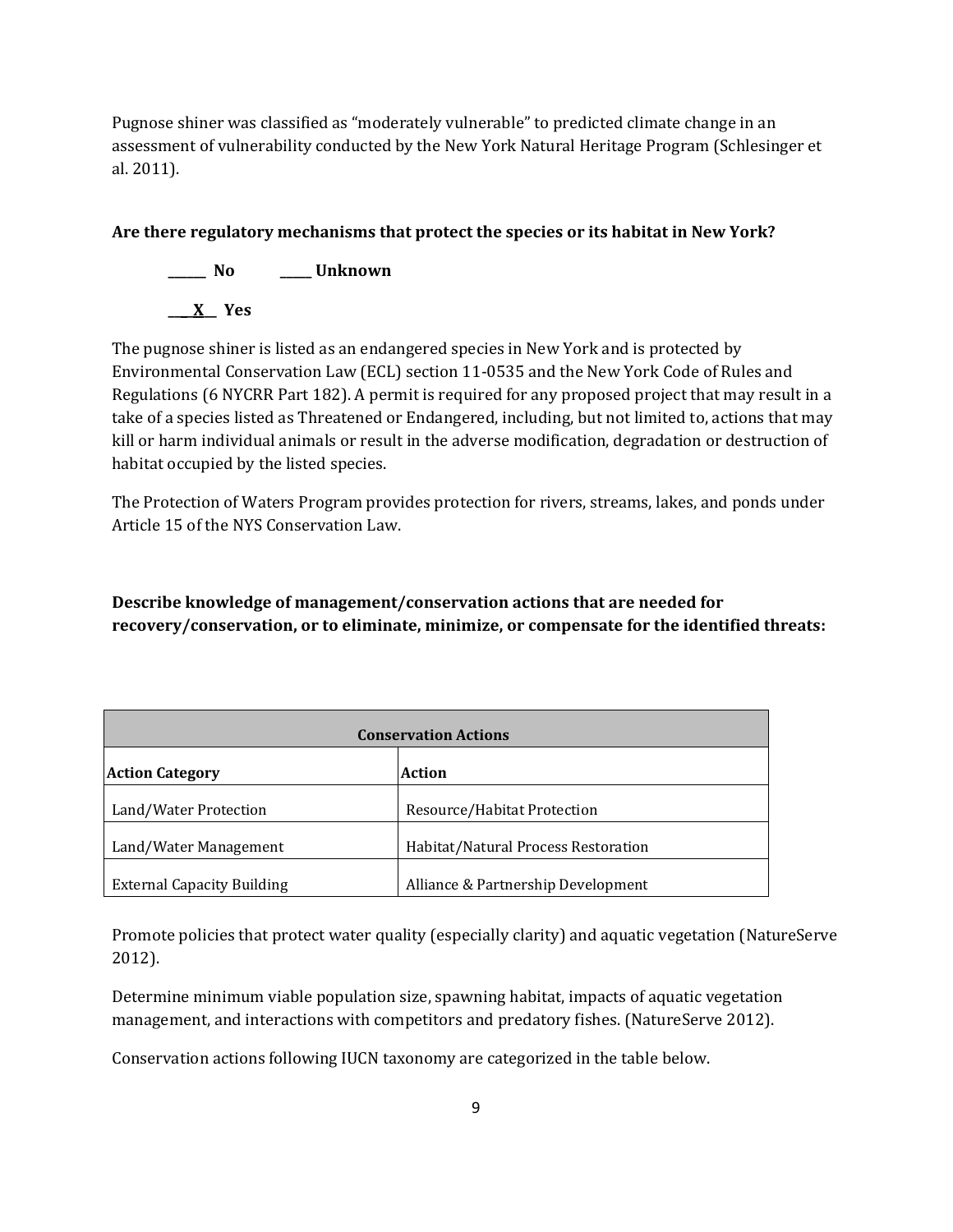Pugnose shiner was classified as "moderately vulnerable" to predicted climate change in an assessment of vulnerability conducted by the New York Natural Heritage Program (Schlesinger et al. 2011).

# **Are there regulatory mechanisms that protect the species or its habitat in New York?**

**\_\_\_\_\_\_ No \_\_\_\_\_ Unknown \_\_\_\_X\_\_ Yes** 

The pugnose shiner is listed as an endangered species in New York and is protected by Environmental Conservation Law (ECL) section 11-0535 and the New York Code of Rules and Regulations (6 NYCRR Part 182). A permit is required for any proposed project that may result in a take of a species listed as Threatened or Endangered, including, but not limited to, actions that may kill or harm individual animals or result in the adverse modification, degradation or destruction of habitat occupied by the listed species.

The Protection of Waters Program provides protection for rivers, streams, lakes, and ponds under Article 15 of the NYS Conservation Law.

**Describe knowledge of management/conservation actions that are needed for recovery/conservation, or to eliminate, minimize, or compensate for the identified threats:**

| <b>Conservation Actions</b>       |                                     |  |
|-----------------------------------|-------------------------------------|--|
| <b>Action Category</b>            | Action                              |  |
| Land/Water Protection             | Resource/Habitat Protection         |  |
| Land/Water Management             | Habitat/Natural Process Restoration |  |
| <b>External Capacity Building</b> | Alliance & Partnership Development  |  |

Promote policies that protect water quality (especially clarity) and aquatic vegetation (NatureServe 2012).

Determine minimum viable population size, spawning habitat, impacts of aquatic vegetation management, and interactions with competitors and predatory fishes. (NatureServe 2012).

Conservation actions following IUCN taxonomy are categorized in the table below.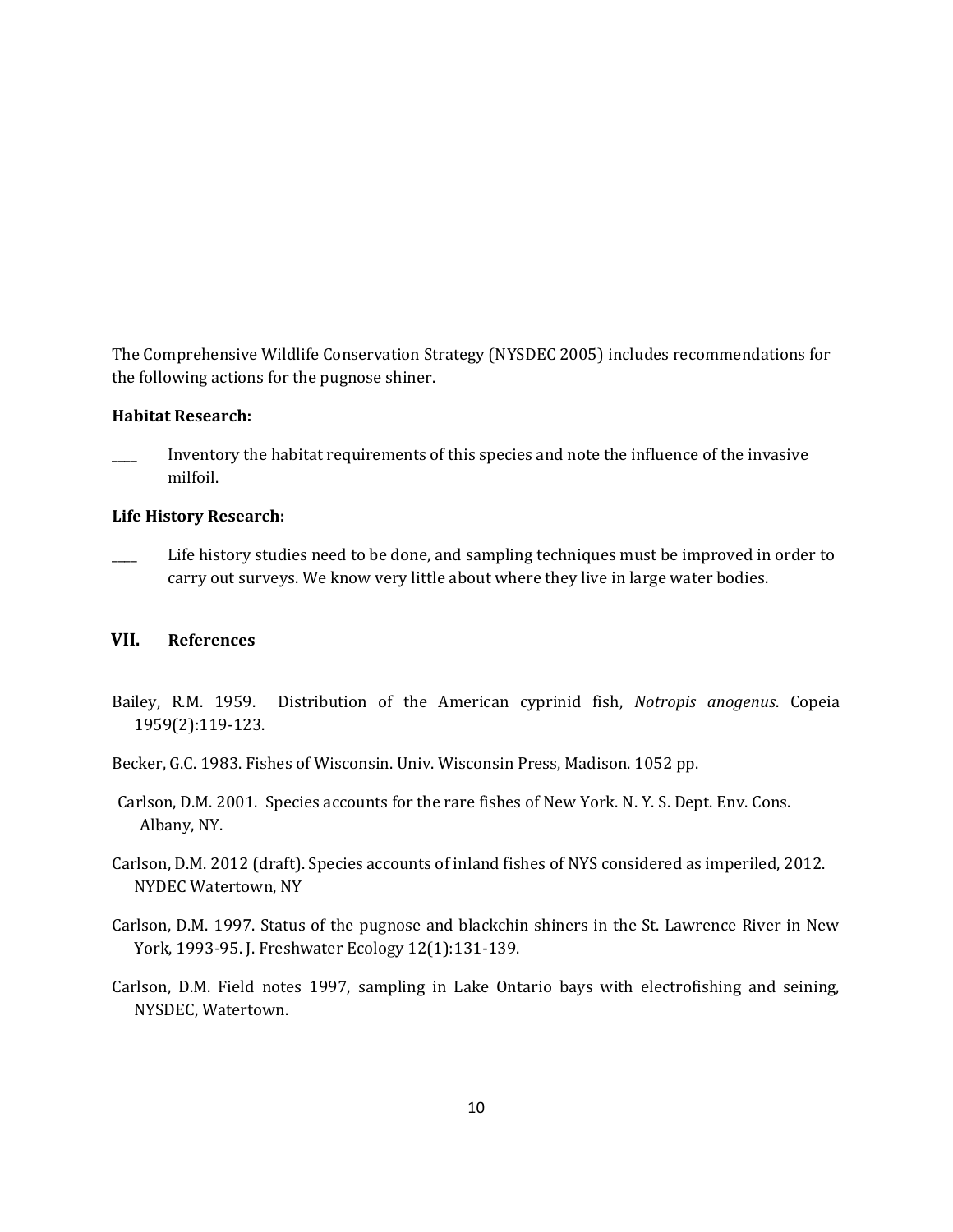The Comprehensive Wildlife Conservation Strategy (NYSDEC 2005) includes recommendations for the following actions for the pugnose shiner.

#### **Habitat Research:**

\_\_\_\_ Inventory the habitat requirements of this species and note the influence of the invasive milfoil.

#### **Life History Research:**

Life history studies need to be done, and sampling techniques must be improved in order to carry out surveys. We know very little about where they live in large water bodies.

# **VII. References**

- Bailey, R.M. 1959. Distribution of the American cyprinid fish, *Notropis anogenus*. Copeia 1959(2):119-123.
- Becker, G.C. 1983. Fishes of Wisconsin. Univ. Wisconsin Press, Madison. 1052 pp.
- Carlson, D.M. 2001. Species accounts for the rare fishes of New York. N. Y. S. Dept. Env. Cons. Albany, NY.
- Carlson, D.M. 2012 (draft). Species accounts of inland fishes of NYS considered as imperiled, 2012. NYDEC Watertown, NY
- Carlson, D.M. 1997. Status of the pugnose and blackchin shiners in the St. Lawrence River in New York, 1993-95. J. Freshwater Ecology 12(1):131-139.
- Carlson, D.M. Field notes 1997, sampling in Lake Ontario bays with electrofishing and seining, NYSDEC, Watertown.